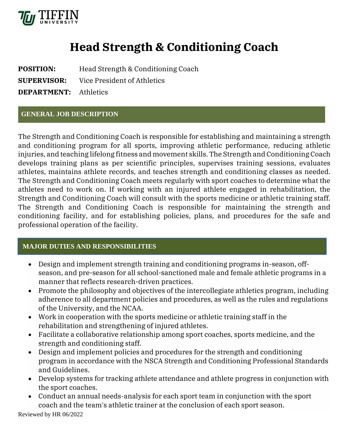

# **Head Strength & Conditioning Coach**

**POSITION:** Head Strength & Conditioning Coach **SUPERVISOR:** Vice President of Athletics **DEPARTMENT:** Athletics

## **GENERAL JOB DESCRIPTION**

The Strength and Conditioning Coach is responsible for establishing and maintaining a strength and conditioning program for all sports, improving athletic performance, reducing athletic injuries, and teaching lifelong fitness and movement skills. The Strength and Conditioning Coach develops training plans as per scientific principles, supervises training sessions, evaluates athletes, maintains athlete records, and teaches strength and conditioning classes as needed. The Strength and Conditioning Coach meets regularly with sport coaches to determine what the athletes need to work on. If working with an injured athlete engaged in rehabilitation, the Strength and Conditioning Coach will consult with the sports medicine or athletic training staff. The Strength and Conditioning Coach is responsible for maintaining the strength and conditioning facility, and for establishing policies, plans, and procedures for the safe and professional operation of the facility.

## **MAJOR DUTIES AND RESPONSIBILITIES**

- Design and implement strength training and conditioning programs in-season, offseason, and pre-season for all school-sanctioned male and female athletic programs in a manner that reflects research-driven practices.
- Promote the philosophy and objectives of the intercollegiate athletics program, including adherence to all department policies and procedures, as well as the rules and regulations of the University, and the NCAA.
- Work in cooperation with the sports medicine or athletic training staff in the rehabilitation and strengthening of injured athletes.
- Facilitate a collaborative relationship among sport coaches, sports medicine, and the strength and conditioning staff.
- Design and implement policies and procedures for the strength and conditioning program in accordance with the [NSCA Strength and Conditioning Professional Standards](https://www.nsca.com/Education/Articles/S-C-professional-standards/)  [and Guidelines.](https://www.nsca.com/Education/Articles/S-C-professional-standards/)
- Develop systems for tracking athlete attendance and athlete progress in conjunction with the sport coaches.
- Conduct an annual needs-analysis for each sport team in conjunction with the sport coach and the team's athletic trainer at the conclusion of each sport season.

Reviewed by HR 06/2022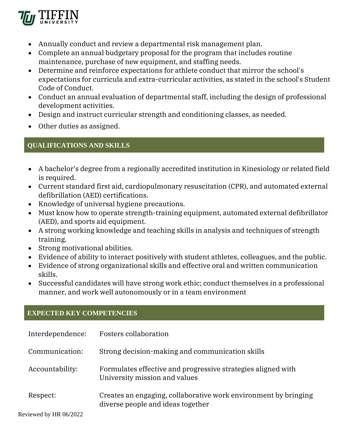

- Annually conduct and review a departmental risk management plan.
- Complete an annual budgetary proposal for the program that includes routine maintenance, purchase of new equipment, and staffing needs.
- Determine and reinforce expectations for athlete conduct that mirror the school's expectations for curricula and extra-curricular activities, as stated in the school's Student Code of Conduct.
- Conduct an annual evaluation of departmental staff, including the design of professional development activities.
- Design and instruct curricular strength and conditioning classes, as needed.
- Other duties as assigned.

## **QUALIFICATIONS AND SKILLS**

- A bachelor's degree from a regionally accredited institution in Kinesiology or related field is required.
- Current standard first aid, cardiopulmonary resuscitation (CPR), and automated external defibrillation (AED) certifications.
- Knowledge of universal hygiene precautions.
- Must know how to operate strength-training equipment, automated external defibrillator (AED), and sports aid equipment.
- A strong working knowledge and teaching skills in analysis and techniques of strength training.
- Strong motivational abilities.
- Evidence of ability to interact positively with student athletes, colleagues, and the public.
- Evidence of strong organizational skills and effective oral and written communication skills.
- Successful candidates will have strong work ethic; conduct themselves in a professional manner, and work well autonomously or in a team environment

## **EXPECTED KEY COMPETENCIES**

| Interdependence:       | Fosters collaboration                                                                                |
|------------------------|------------------------------------------------------------------------------------------------------|
| Communication:         | Strong decision-making and communication skills                                                      |
| Accountability:        | Formulates effective and progressive strategies aligned with<br>University mission and values        |
| Respect:               | Creates an engaging, collaborative work environment by bringing<br>diverse people and ideas together |
| Reviewed by HR 06/2022 |                                                                                                      |